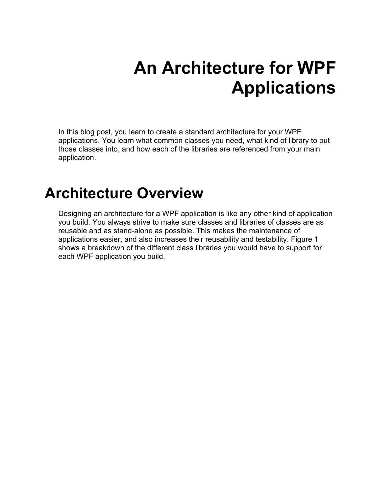# **An Architecture for WPF Applications**

In this blog post, you learn to create a standard architecture for your WPF applications. You learn what common classes you need, what kind of library to put those classes into, and how each of the libraries are referenced from your main application.

#### **Architecture Overview**

Designing an architecture for a WPF application is like any other kind of application you build. You always strive to make sure classes and libraries of classes are as reusable and as stand-alone as possible. This makes the maintenance of applications easier, and also increases their reusability and testability. [Figure 1](#page-1-0) shows a breakdown of the different class libraries you would have to support for each WPF application you build.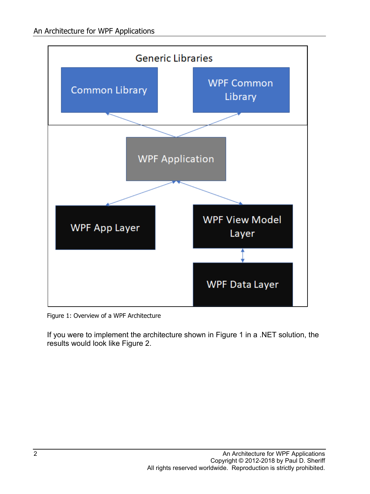

<span id="page-1-0"></span>Figure 1: Overview of a WPF Architecture

If you were to implement the architecture shown in [Figure 1](#page-1-0) in a .NET solution, the results would look like [Figure 2.](#page-2-0)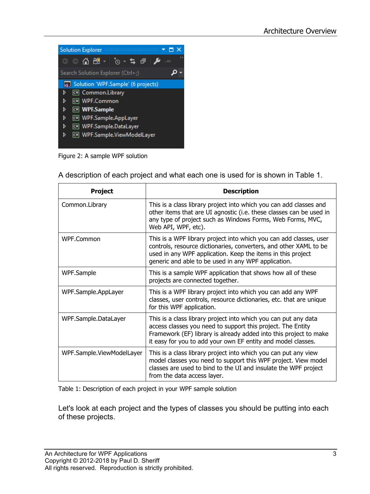|   | <b>Solution Explorer</b><br>$\label{eq:recon} \begin{array}{lll} \text{MSE}(\mathcal{A}, \mathcal{A}, \mathcal{A}, \mathcal{A}, \mathcal{A}, \mathcal{A}, \mathcal{A}, \mathcal{A}, \mathcal{A}, \mathcal{A}, \mathcal{A}, \mathcal{A}, \mathcal{A}, \mathcal{A}, \mathcal{A}, \mathcal{A}, \mathcal{A}, \mathcal{A}, \mathcal{A}, \mathcal{A}, \mathcal{A}, \mathcal{A}, \mathcal{A}, \mathcal{A}, \mathcal{A}, \mathcal{A}, \mathcal{A}, \mathcal{A}, \mathcal{A}, \mathcal{A}, \mathcal{A}, \mathcal{A}, \mathcal{A},$ |  |
|---|---------------------------------------------------------------------------------------------------------------------------------------------------------------------------------------------------------------------------------------------------------------------------------------------------------------------------------------------------------------------------------------------------------------------------------------------------------------------------------------------------------------------------|--|
|   | । 2 → ⊙ ∆ ⊞ ∣ ⊙ - <i>≒</i> ⊎                                                                                                                                                                                                                                                                                                                                                                                                                                                                                              |  |
|   | Search Solution Explorer (Ctrl+;)                                                                                                                                                                                                                                                                                                                                                                                                                                                                                         |  |
|   | Solution 'WPF.Sample' (6 projects)                                                                                                                                                                                                                                                                                                                                                                                                                                                                                        |  |
| d | C# Common.Library                                                                                                                                                                                                                                                                                                                                                                                                                                                                                                         |  |
| d | C WPF.Common                                                                                                                                                                                                                                                                                                                                                                                                                                                                                                              |  |
| d | WPF.Sample                                                                                                                                                                                                                                                                                                                                                                                                                                                                                                                |  |
| d | C# WPF.Sample.AppLayer                                                                                                                                                                                                                                                                                                                                                                                                                                                                                                    |  |
| d | C# WPF.Sample.DataLayer                                                                                                                                                                                                                                                                                                                                                                                                                                                                                                   |  |
| d | C# WPF.Sample.ViewModelLayer                                                                                                                                                                                                                                                                                                                                                                                                                                                                                              |  |
|   |                                                                                                                                                                                                                                                                                                                                                                                                                                                                                                                           |  |

<span id="page-2-0"></span>Figure 2: A sample WPF solution

| A description of each project and what each one is used for is shown in Table 1. |  |
|----------------------------------------------------------------------------------|--|
|----------------------------------------------------------------------------------|--|

| <b>Project</b>            | <b>Description</b>                                                                                                                                                                                                                                                  |
|---------------------------|---------------------------------------------------------------------------------------------------------------------------------------------------------------------------------------------------------------------------------------------------------------------|
| Common.Library            | This is a class library project into which you can add classes and<br>other items that are UI agnostic (i.e. these classes can be used in<br>any type of project such as Windows Forms, Web Forms, MVC,<br>Web API, WPF, etc).                                      |
| WPF.Common                | This is a WPF library project into which you can add classes, user<br>controls, resource dictionaries, converters, and other XAML to be<br>used in any WPF application. Keep the items in this project<br>generic and able to be used in any WPF application.       |
| WPF.Sample                | This is a sample WPF application that shows how all of these<br>projects are connected together.                                                                                                                                                                    |
| WPF.Sample.AppLayer       | This is a WPF library project into which you can add any WPF<br>classes, user controls, resource dictionaries, etc. that are unique<br>for this WPF application.                                                                                                    |
| WPF.Sample.DataLayer      | This is a class library project into which you can put any data<br>access classes you need to support this project. The Entity<br>Framework (EF) library is already added into this project to make<br>it easy for you to add your own EF entity and model classes. |
| WPF.Sample.ViewModelLayer | This is a class library project into which you can put any view<br>model classes you need to support this WPF project. View model<br>classes are used to bind to the UI and insulate the WPF project<br>from the data access layer.                                 |

<span id="page-2-1"></span>Table 1: Description of each project in your WPF sample solution

Let's look at each project and the types of classes you should be putting into each of these projects.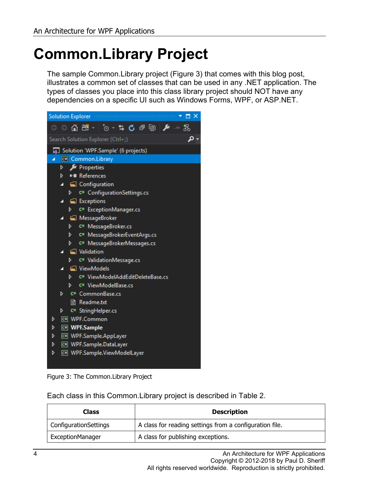## **Common.Library Project**

The sample Common.Library project [\(Figure 3\)](#page-3-0) that comes with this blog post, illustrates a common set of classes that can be used in any .NET application. The types of classes you place into this class library project should NOT have any dependencies on a specific UI such as Windows Forms, WPF, or ASP.NET.



Figure 3: The Common.Library Project

<span id="page-3-0"></span>Each class in this Common.Library project is described in [Table](#page-4-0) 2.

| Class                        | <b>Description</b>                                      |
|------------------------------|---------------------------------------------------------|
| <b>ConfigurationSettings</b> | A class for reading settings from a configuration file. |
| <b>ExceptionManager</b>      | A class for publishing exceptions.                      |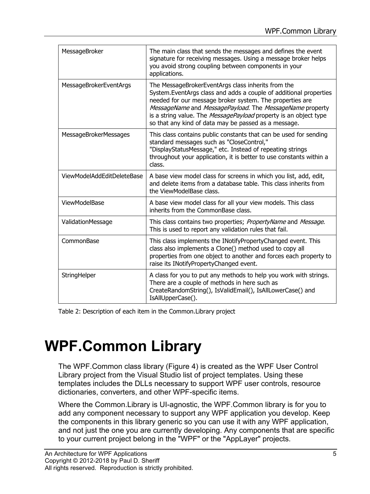| MessageBroker                 | The main class that sends the messages and defines the event<br>signature for receiving messages. Using a message broker helps<br>you avoid strong coupling between components in your<br>applications.                                                                                                                                                                      |
|-------------------------------|------------------------------------------------------------------------------------------------------------------------------------------------------------------------------------------------------------------------------------------------------------------------------------------------------------------------------------------------------------------------------|
| <b>MessageBrokerEventArgs</b> | The MessageBrokerEventArgs class inherits from the<br>System. EventArgs class and adds a couple of additional properties<br>needed for our message broker system. The properties are<br>MessageName and MessagePayload. The MessageName property<br>is a string value. The MessagePayload property is an object type<br>so that any kind of data may be passed as a message. |
| MessageBrokerMessages         | This class contains public constants that can be used for sending<br>standard messages such as "CloseControl,"<br>"DisplayStatusMessage," etc. Instead of repeating strings<br>throughout your application, it is better to use constants within a<br>class.                                                                                                                 |
| ViewModelAddEditDeleteBase    | A base view model class for screens in which you list, add, edit,<br>and delete items from a database table. This class inherits from<br>the ViewModelBase class.                                                                                                                                                                                                            |
| ViewModelBase                 | A base view model class for all your view models. This class<br>inherits from the CommonBase class.                                                                                                                                                                                                                                                                          |
| ValidationMessage             | This class contains two properties; PropertyName and Message.<br>This is used to report any validation rules that fail.                                                                                                                                                                                                                                                      |
| CommonBase                    | This class implements the INotifyPropertyChanged event. This<br>class also implements a Clone() method used to copy all<br>properties from one object to another and forces each property to<br>raise its INotifyPropertyChanged event.                                                                                                                                      |
| StringHelper                  | A class for you to put any methods to help you work with strings.<br>There are a couple of methods in here such as<br>CreateRandomString(), IsValidEmail(), IsAllLowerCase() and<br>IsAllUpperCase().                                                                                                                                                                        |

<span id="page-4-0"></span>Table 2: Description of each item in the Common.Library project

### **WPF.Common Library**

The WPF.Common class library [\(Figure 4\)](#page-7-0) is created as the WPF User Control Library project from the Visual Studio list of project templates. Using these templates includes the DLLs necessary to support WPF user controls, resource dictionaries, converters, and other WPF-specific items.

Where the Common.Library is UI-agnostic, the WPF.Common library is for you to add any component necessary to support any WPF application you develop. Keep the components in this library generic so you can use it with any WPF application, and not just the one you are currently developing. Any components that are specific to your current project belong in the "WPF" or the "AppLayer" projects.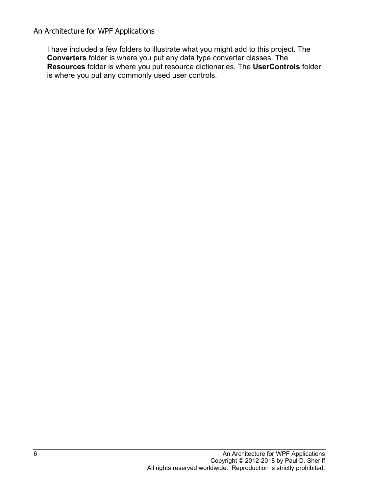I have included a few folders to illustrate what you might add to this project. The **Converters** folder is where you put any data type converter classes. The **Resources** folder is where you put resource dictionaries. The **UserControls** folder is where you put any commonly used user controls.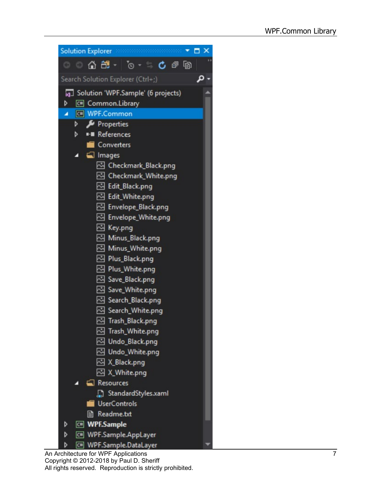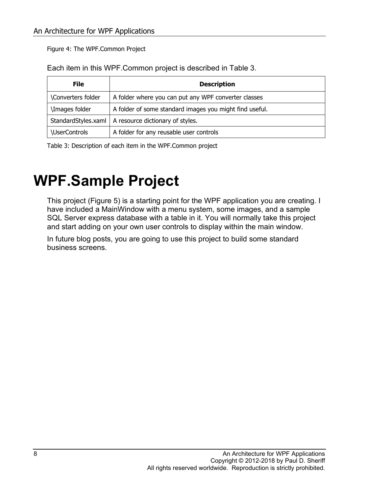<span id="page-7-0"></span>Figure 4: The WPF.Common Project

Each item in this WPF.Common project is described in [Table 3.](#page-7-1)

| File                 | <b>Description</b>                                      |
|----------------------|---------------------------------------------------------|
| \Converters folder   | A folder where you can put any WPF converter classes    |
| \Images folder       | A folder of some standard images you might find useful. |
| StandardStyles.xaml  | A resource dictionary of styles.                        |
| <b>\UserControls</b> | A folder for any reusable user controls                 |

<span id="page-7-1"></span>Table 3: Description of each item in the WPF.Common project

#### **WPF.Sample Project**

This project [\(Figure 5\)](#page-8-0) is a starting point for the WPF application you are creating. I have included a MainWindow with a menu system, some images, and a sample SQL Server express database with a table in it. You will normally take this project and start adding on your own user controls to display within the main window.

In future blog posts, you are going to use this project to build some standard business screens.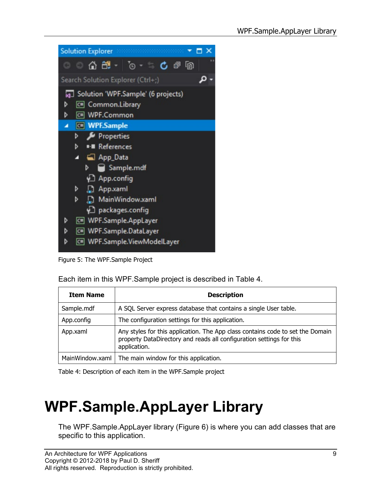| <b>Solution Explorer</b>                    |
|---------------------------------------------|
| – ∩ ∺ – ⊺ு –<br>亡司<br>囤<br>o<br>5           |
| Search Solution Explorer (Ctrl+;)           |
| Solution 'WPF.Sample' (6 projects)          |
| C# Common.Library<br>D                      |
| C# WPF.Common<br>D                          |
| <b>C# WPF.Sample</b><br>z                   |
| Properties<br>d                             |
| <b>**</b> References<br>d                   |
| App_Data<br>л                               |
| Sample.mdf<br>d                             |
| ∳े App.config                               |
| Þ<br><b>App.xaml</b>                        |
| MainWindow.xaml<br>d                        |
| √] packages.config                          |
| C# WPF.Sample.AppLayer<br>D                 |
| WPF.Sample.DataLayer<br>$\overline{C}$<br>D |
| C# WPF.Sample.ViewModelLaver<br>D           |

<span id="page-8-0"></span>Figure 5: The WPF.Sample Project

Each item in this WPF.Sample project is described in [Table 4.](#page-8-1)

| <b>Item Name</b> | <b>Description</b>                                                                                                                                                     |
|------------------|------------------------------------------------------------------------------------------------------------------------------------------------------------------------|
| Sample.mdf       | A SQL Server express database that contains a single User table.                                                                                                       |
| App.config       | The configuration settings for this application.                                                                                                                       |
| App.xaml         | Any styles for this application. The App class contains code to set the Domain<br>property DataDirectory and reads all configuration settings for this<br>application. |
| MainWindow.xaml  | The main window for this application.                                                                                                                                  |

<span id="page-8-1"></span>Table 4: Description of each item in the WPF.Sample project

## **WPF.Sample.AppLayer Library**

The WPF.Sample.AppLayer library [\(Figure 6\)](#page-9-0) is where you can add classes that are specific to this application.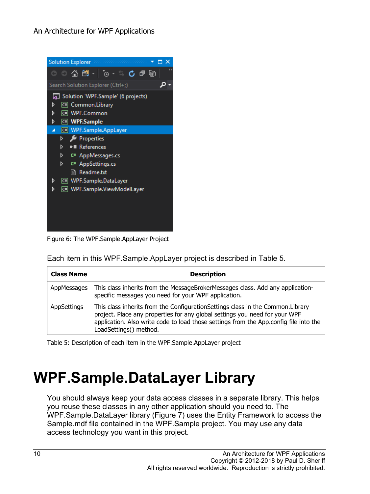

Figure 6: The WPF.Sample.AppLayer Project

<span id="page-9-0"></span>Each item in this WPF.Sample.AppLayer project is described in [Table 5.](#page-9-1)

| <b>Class Name</b> | <b>Description</b>                                                                                                                                                                                                                                                                 |
|-------------------|------------------------------------------------------------------------------------------------------------------------------------------------------------------------------------------------------------------------------------------------------------------------------------|
| AppMessages       | This class inherits from the MessageBrokerMessages class. Add any application-<br>specific messages you need for your WPF application.                                                                                                                                             |
| AppSettings       | This class inherits from the Configuration Settings class in the Common. Library<br>project. Place any properties for any global settings you need for your WPF<br>application. Also write code to load those settings from the App.config file into the<br>LoadSettings() method. |

<span id="page-9-1"></span>Table 5: Description of each item in the WPF.Sample.AppLayer project

### **WPF.Sample.DataLayer Library**

You should always keep your data access classes in a separate library. This helps you reuse these classes in any other application should you need to. The WPF.Sample.DataLayer library [\(Figure 7\)](#page-10-0) uses the Entity Framework to access the Sample.mdf file contained in the WPF.Sample project. You may use any data access technology you want in this project.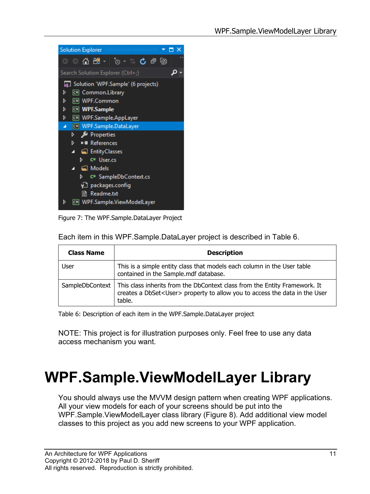| Solution Explorer according to the contract $\bullet$ $\Box$ $\times$ |
|-----------------------------------------------------------------------|
| . . ^ ⊕ <u>∩</u> ⊱ ≥ ^ ∴ ∫ ⊕ ⊜                                        |
| Search Solution Explorer (Ctrl+;)                                     |
| 5 Solution 'WPF.Sample' (6 projects)                                  |
| C# Common.Library<br>D                                                |
| C# WPF.Common<br>d                                                    |
| d<br><b>C# WPF.Sample</b>                                             |
| ▷ _<br>WPF.Sample.AppLayer                                            |
| ▲ C <sup>#</sup> WPF.Sample.DataLayer                                 |
| $\triangleright$ <b>F</b> Properties                                  |
| ■ References<br>⊳ .                                                   |
| ▲ ■ EntityClasses                                                     |
| D C <sup>#</sup> User.cs                                              |
| $\blacktriangleleft$ $\blacksquare$ Models                            |
| ⊳ ⊹<br>C <sup>#</sup> SampleDbContext.cs                              |
| ∮_] packages.config                                                   |
| <b>l≣i Readme.txt</b>                                                 |
| C# WPF.Sample.ViewModelLayer<br>D                                     |
|                                                                       |

<span id="page-10-0"></span>Figure 7: The WPF.Sample.DataLayer Project

Each item in this WPF.Sample.DataLayer project is described in [Table 6.](#page-10-1)

| <b>Class Name</b> | <b>Description</b>                                                                                                                                                                            |
|-------------------|-----------------------------------------------------------------------------------------------------------------------------------------------------------------------------------------------|
| User              | This is a simple entity class that models each column in the User table<br>contained in the Sample.mdf database.                                                                              |
|                   | SampleDbContext   This class inherits from the DbContext class from the Entity Framework. It<br>creates a DbSet <user> property to allow you to access the data in the User<br/>table.</user> |

<span id="page-10-1"></span>Table 6: Description of each item in the WPF.Sample.DataLayer project

NOTE: This project is for illustration purposes only. Feel free to use any data access mechanism you want.

## **WPF.Sample.ViewModelLayer Library**

You should always use the MVVM design pattern when creating WPF applications. All your view models for each of your screens should be put into the WPF.Sample.ViewModelLayer class library [\(Figure 8\)](#page-11-0). Add additional view model classes to this project as you add new screens to your WPF application.